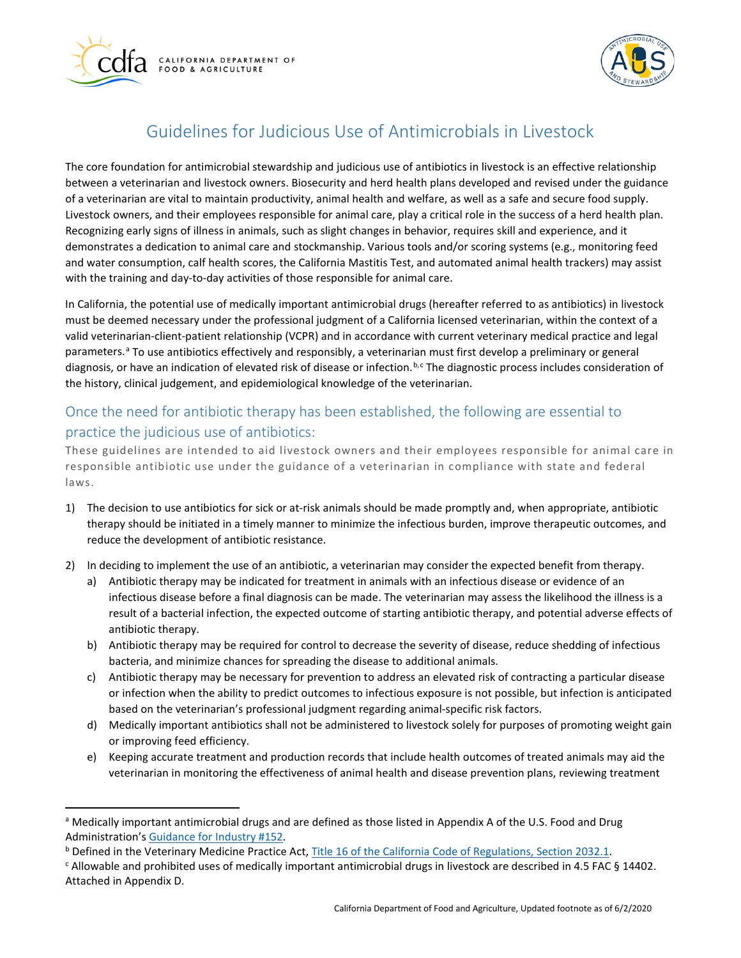



## Guidelines for Judicious Use of Antimicrobials in Livestock

 Recognizing early signs of illness in animals, such as slight changes in behavior, requires skill and experience, and it The core foundation for antimicrobial stewardship and judicious use of antibiotics in livestock is an effective relationship between a veterinarian and livestock owners. Biosecurity and herd health plans developed and revised under the guidance of a veterinarian are vital to maintain productivity, animal health and welfare, as well as a safe and secure food supply. Livestock owners, and their employees responsible for animal care, play a critical role in the success of a herd health plan. demonstrates a dedication to animal care and stockmanship. Various tools and/or scoring systems (e.g., monitoring feed and water consumption, calf health scores, the California Mastitis Test, and automated animal health trackers) may assist with the training and day-to-day activities of those responsible for animal care.

 valid veterinarian-client-patient relationship (VCPR) and in accordance with current veterinary medical practice and legal diagnosis, or have an indication of elevated risk of disease or infection.<sup>[b](#page-0-1),c</sup> The diagnosti[c](#page-0-2) process includes consideration of In California, the potential use of medically important antimicrobial drugs (hereafter referred to as antibiotics) in livestock must be deemed necessary under the professional judgment of a California licensed veterinarian, within the context of a p[a](#page-0-0)rameters.<sup>a</sup> To use antibiotics effectively and responsibly, a veterinarian must first develop a preliminary or general the history, clinical judgement, and epidemiological knowledge of the veterinarian.

## Once the need for antibiotic therapy has been established, the following are essential to practice the judicious use of antibiotics:

 responsible antibiotic use under the guidance of a veterinarian in compliance with state and federal These guidelines are intended to aid livestock owners and their employees responsible for animal care in laws.

- 1) The decision to use antibiotics for sick or at-risk animals should be made promptly and, when appropriate, antibiotic therapy should be initiated in a timely manner to minimize the infectious burden, improve therapeutic outcomes, and reduce the development of antibiotic resistance.
- 2) In deciding to implement the use of an antibiotic, a veterinarian may consider the expected benefit from therapy.
	- a) Antibiotic therapy may be indicated for treatment in animals with an infectious disease or evidence of an infectious disease before a final diagnosis can be made. The veterinarian may assess the likelihood the illness is a result of a bacterial infection, the expected outcome of starting antibiotic therapy, and potential adverse effects of antibiotic therapy.
	- b) Antibiotic therapy may be required for control to decrease the severity of disease, reduce shedding of infectious bacteria, and minimize chances for spreading the disease to additional animals.
	- c) Antibiotic therapy may be necessary for prevention to address an elevated risk of contracting a particular disease based on the veterinarian's professional judgment regarding animal-specific risk factors. or infection when the ability to predict outcomes to infectious exposure is not possible, but infection is anticipated
	- d) Medically important antibiotics shall not be administered to livestock solely for purposes of promoting weight gain or improving feed efficiency.
	- veterinarian in monitoring the effectiveness of animal health and disease prevention plans, reviewing treatment e) Keeping accurate treatment and production records that include health outcomes of treated animals may aid the

<span id="page-0-0"></span>a Medically important antimicrobial drugs and are defined as those listed in Appendix A of the U.S. Food and Drug

<span id="page-0-1"></span><sup>&</sup>lt;sup>b</sup> Defined in the Veterinary Medicine Practice Act, Title 16 of the California Code of Regulations, Section 2032.1. Administration's <u>Guidance for Industry #152</u>.<br><sup>b</sup> Defined in the Veterinary Medicine Practice Act, <u>Title 16 of the California Code of Regulations, Section 2032.1</u>.<br><sup>c</sup> Allowable and prohibited uses of medically important

<span id="page-0-2"></span>Attached in Appendix D.